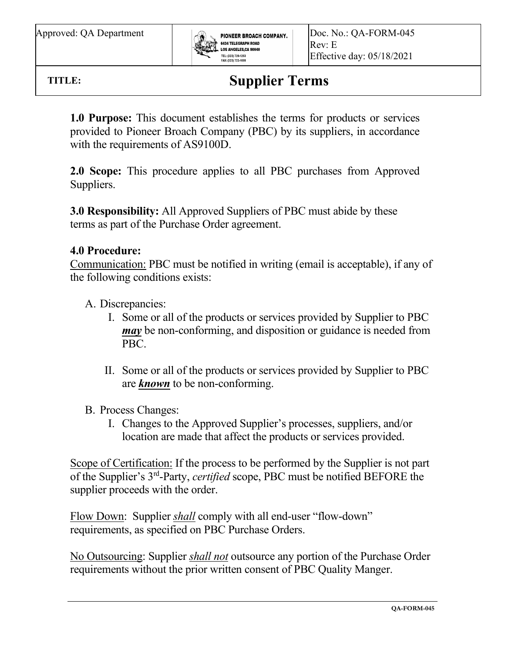

**TITLE:**

 $\overline{a}$ 

**Supplier Terms**

**1.0 Purpose:** This document establishes the terms for products or services provided to Pioneer Broach Company (PBC) by its suppliers, in accordance with the requirements of AS9100D.

**2.0 Scope:** This procedure applies to all PBC purchases from Approved Suppliers.

**3.0 Responsibility:** All Approved Suppliers of PBC must abide by these terms as part of the Purchase Order agreement.

## **4.0 Procedure:**

Communication: PBC must be notified in writing (email is acceptable), if any of the following conditions exists:

A. Discrepancies:

- I. Some or all of the products or services provided by Supplier to PBC *may* be non-conforming, and disposition or guidance is needed from PBC.
- II. Some or all of the products or services provided by Supplier to PBC are *known* to be non-conforming.
- B. Process Changes:
	- I. Changes to the Approved Supplier's processes, suppliers, and/or location are made that affect the products or services provided.

Scope of Certification: If the process to be performed by the Supplier is not part of the Supplier's 3rd -Party, *certified* scope, PBC must be notified BEFORE the supplier proceeds with the order.

Flow Down: Supplier *shall* comply with all end-user "flow-down" requirements, as specified on PBC Purchase Orders.

No Outsourcing: Supplier *shall not* outsource any portion of the Purchase Order requirements without the prior written consent of PBC Quality Manger.